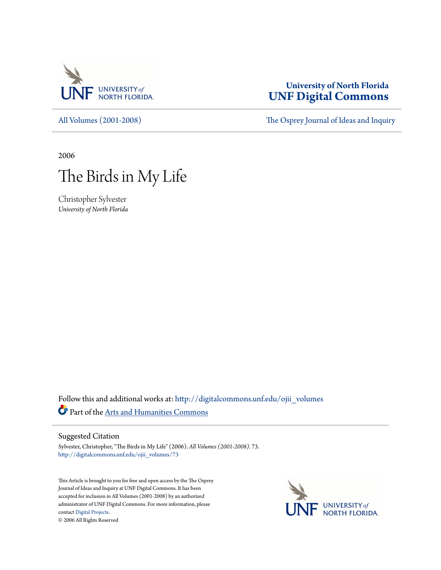

# **University of North Florida [UNF Digital Commons](http://digitalcommons.unf.edu?utm_source=digitalcommons.unf.edu%2Fojii_volumes%2F73&utm_medium=PDF&utm_campaign=PDFCoverPages)**

# [All Volumes \(2001-2008\)](http://digitalcommons.unf.edu/ojii_volumes?utm_source=digitalcommons.unf.edu%2Fojii_volumes%2F73&utm_medium=PDF&utm_campaign=PDFCoverPages) [The Osprey Journal of Ideas and Inquiry](http://digitalcommons.unf.edu/ojii?utm_source=digitalcommons.unf.edu%2Fojii_volumes%2F73&utm_medium=PDF&utm_campaign=PDFCoverPages)

2006

# The Birds in My Life

Christopher Sylvester *University of North Florida*

Follow this and additional works at: [http://digitalcommons.unf.edu/ojii\\_volumes](http://digitalcommons.unf.edu/ojii_volumes?utm_source=digitalcommons.unf.edu%2Fojii_volumes%2F73&utm_medium=PDF&utm_campaign=PDFCoverPages) Part of the [Arts and Humanities Commons](http://network.bepress.com/hgg/discipline/438?utm_source=digitalcommons.unf.edu%2Fojii_volumes%2F73&utm_medium=PDF&utm_campaign=PDFCoverPages)

#### Suggested Citation

Sylvester, Christopher, "The Birds in My Life" (2006). *All Volumes (2001-2008)*. 73. [http://digitalcommons.unf.edu/ojii\\_volumes/73](http://digitalcommons.unf.edu/ojii_volumes/73?utm_source=digitalcommons.unf.edu%2Fojii_volumes%2F73&utm_medium=PDF&utm_campaign=PDFCoverPages)

This Article is brought to you for free and open access by the The Osprey Journal of Ideas and Inquiry at UNF Digital Commons. It has been accepted for inclusion in All Volumes (2001-2008) by an authorized administrator of UNF Digital Commons. For more information, please contact [Digital Projects.](mailto:lib-digital@unf.edu) © 2006 All Rights Reserved

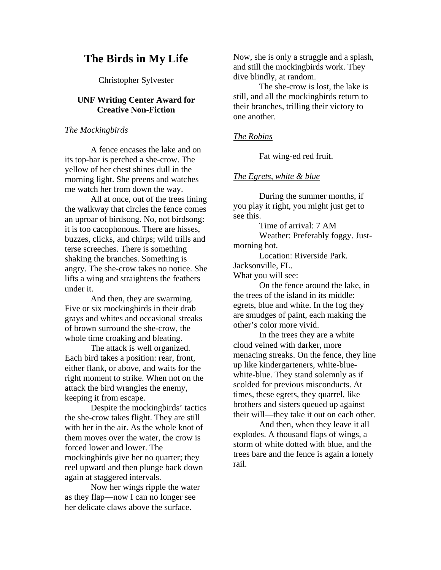# **The Birds in My Life**

Christopher Sylvester

# **UNF Writing Center Award for Creative Non-Fiction**

*The Mockingbirds*

A fence encases the lake and on its top-bar is perched a she-crow. The yellow of her chest shines dull in the morning light. She preens and watches me watch her from down the way.

 All at once, out of the trees lining the walkway that circles the fence comes an uproar of birdsong. No, not birdsong: it is too cacophonous. There are hisses, buzzes, clicks, and chirps; wild trills and terse screeches. There is something shaking the branches. Something is angry. The she-crow takes no notice. She lifts a wing and straightens the feathers under it.

 And then, they are swarming. Five or six mockingbirds in their drab grays and whites and occasional streaks of brown surround the she-crow, the whole time croaking and bleating.

 The attack is well organized. Each bird takes a position: rear, front, either flank, or above, and waits for the right moment to strike. When not on the attack the bird wrangles the enemy, keeping it from escape.

 Despite the mockingbirds' tactics the she-crow takes flight. They are still with her in the air. As the whole knot of them moves over the water, the crow is forced lower and lower. The mockingbirds give her no quarter; they reel upward and then plunge back down again at staggered intervals.

 Now her wings ripple the water as they flap—now I can no longer see her delicate claws above the surface.

Now, she is only a struggle and a splash, and still the mockingbirds work. They dive blindly, at random.

 The she-crow is lost, the lake is still, and all the mockingbirds return to their branches, trilling their victory to one another.

# *The Robins*

Fat wing-ed red fruit.

# *The Egrets, white & blue*

During the summer months, if you play it right, you might just get to see this.

Time of arrival: 7 AM

 Weather: Preferably foggy. Justmorning hot.

 Location: Riverside Park. Jacksonville, FL. What you will see:

 On the fence around the lake, in the trees of the island in its middle: egrets, blue and white. In the fog they are smudges of paint, each making the other's color more vivid.

In the trees they are a white cloud veined with darker, more menacing streaks. On the fence, they line up like kindergarteners, white-bluewhite-blue. They stand solemnly as if scolded for previous misconducts. At times, these egrets, they quarrel, like brothers and sisters queued up against their will—they take it out on each other.

 And then, when they leave it all explodes. A thousand flaps of wings, a storm of white dotted with blue, and the trees bare and the fence is again a lonely rail.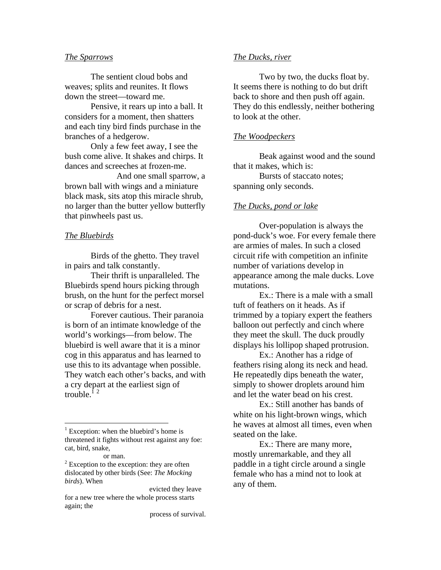#### *The Sparrows*

The sentient cloud bobs and weaves; splits and reunites. It flows down the street—toward me.

 Pensive, it rears up into a ball. It considers for a moment, then shatters and each tiny bird finds purchase in the branches of a hedgerow.

Only a few feet away, I see the bush come alive. It shakes and chirps. It dances and screeches at frozen-me.

 And one small sparrow, a brown ball with wings and a miniature black mask, sits atop this miracle shrub, no larger than the butter yellow butterfly that pinwheels past us.

#### *The Bluebirds*

Birds of the ghetto. They travel in pairs and talk constantly.

 Their thrift is unparalleled. The Bluebirds spend hours picking through brush, on the hunt for the perfect morsel or scrap of debris for a nest.

 Forever cautious. Their paranoia is born of an intimate knowledge of the world's workings—from below. The bluebird is well aware that it is a minor cog in this apparatus and has learned to use this to its advantage when possible. They watch each other's backs, and with a cry depart at the earliest sign of trouble. $^{12}$ 

 $\overline{a}$ 

#### *The Ducks, river*

Two by two, the ducks float by. It seems there is nothing to do but drift back to shore and then push off again. They do this endlessly, neither bothering to look at the other.

# *The Woodpeckers*

Beak against wood and the sound that it makes, which is:

 Bursts of staccato notes; spanning only seconds.

#### *The Ducks, pond or lake*

Over-population is always the pond-duck's woe. For every female there are armies of males. In such a closed circuit rife with competition an infinite number of variations develop in appearance among the male ducks. Love mutations.

 Ex.: There is a male with a small tuft of feathers on it heads. As if trimmed by a topiary expert the feathers balloon out perfectly and cinch where they meet the skull. The duck proudly displays his lollipop shaped protrusion.

 Ex.: Another has a ridge of feathers rising along its neck and head. He repeatedly dips beneath the water, simply to shower droplets around him and let the water bead on his crest.

 Ex.: Still another has bands of white on his light-brown wings, which he waves at almost all times, even when seated on the lake.

 Ex.: There are many more, mostly unremarkable, and they all paddle in a tight circle around a single female who has a mind not to look at any of them.

<sup>&</sup>lt;sup>1</sup> Exception: when the bluebird's home is threatened it fights without rest against any foe: cat, bird, snake,

or man.<br><sup>2</sup> Exception to the exception: they are often dislocated by other birds (See: *The Mocking birds*). When

evicted they leave for a new tree where the whole process starts again; the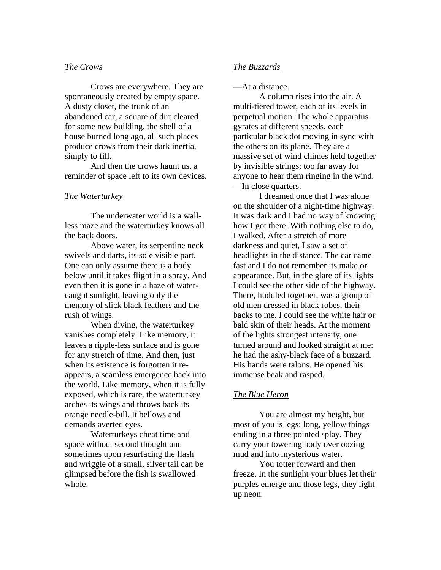# *The Crows*

Crows are everywhere. They are spontaneously created by empty space. A dusty closet, the trunk of an abandoned car, a square of dirt cleared for some new building, the shell of a house burned long ago, all such places produce crows from their dark inertia, simply to fill.

 And then the crows haunt us, a reminder of space left to its own devices.

# *The Waterturkey*

The underwater world is a wallless maze and the waterturkey knows all the back doors.

 Above water, its serpentine neck swivels and darts, its sole visible part. One can only assume there is a body below until it takes flight in a spray. And even then it is gone in a haze of watercaught sunlight, leaving only the memory of slick black feathers and the rush of wings.

 When diving, the waterturkey vanishes completely. Like memory, it leaves a ripple-less surface and is gone for any stretch of time. And then, just when its existence is forgotten it reappears, a seamless emergence back into the world. Like memory, when it is fully exposed, which is rare, the waterturkey arches its wings and throws back its orange needle-bill. It bellows and demands averted eyes.

 Waterturkeys cheat time and space without second thought and sometimes upon resurfacing the flash and wriggle of a small, silver tail can be glimpsed before the fish is swallowed whole.

# *The Buzzards*

—At a distance.

 A column rises into the air. A multi-tiered tower, each of its levels in perpetual motion. The whole apparatus gyrates at different speeds, each particular black dot moving in sync with the others on its plane. They are a massive set of wind chimes held together by invisible strings; too far away for anyone to hear them ringing in the wind. —In close quarters.

 I dreamed once that I was alone on the shoulder of a night-time highway. It was dark and I had no way of knowing how I got there. With nothing else to do, I walked. After a stretch of more darkness and quiet, I saw a set of headlights in the distance. The car came fast and I do not remember its make or appearance. But, in the glare of its lights I could see the other side of the highway. There, huddled together, was a group of old men dressed in black robes, their backs to me. I could see the white hair or bald skin of their heads. At the moment of the lights strongest intensity, one turned around and looked straight at me: he had the ashy-black face of a buzzard. His hands were talons. He opened his immense beak and rasped.

# *The Blue Heron*

You are almost my height, but most of you is legs: long, yellow things ending in a three pointed splay. They carry your towering body over oozing mud and into mysterious water.

 You totter forward and then freeze. In the sunlight your blues let their purples emerge and those legs, they light up neon.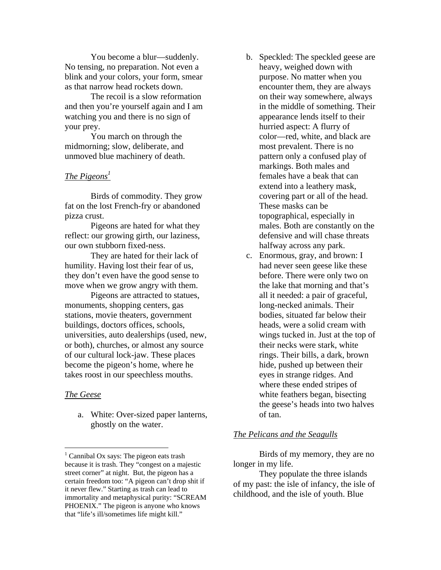You become a blur—suddenly. No tensing, no preparation. Not even a blink and your colors, your form, smear as that narrow head rockets down.

 The recoil is a slow reformation and then you're yourself again and I am watching you and there is no sign of your prey.

 You march on through the midmorning; slow, deliberate, and unmoved blue machinery of death.

# *The Pigeons*<sup>1</sup>

Birds of commodity. They grow fat on the lost French-fry or abandoned pizza crust.

Pigeons are hated for what they reflect: our growing girth, our laziness, our own stubborn fixed-ness.

 They are hated for their lack of humility. Having lost their fear of us, they don't even have the good sense to move when we grow angry with them.

 Pigeons are attracted to statues, monuments, shopping centers, gas stations, movie theaters, government buildings, doctors offices, schools, universities, auto dealerships (used, new, or both), churches, or almost any source of our cultural lock-jaw. These places become the pigeon's home, where he takes roost in our speechless mouths.

# *The Geese*

1

a. White: Over-sized paper lanterns, ghostly on the water.

- b. Speckled: The speckled geese are heavy, weighed down with purpose. No matter when you encounter them, they are always on their way somewhere, always in the middle of something. Their appearance lends itself to their hurried aspect: A flurry of color—red, white, and black are most prevalent. There is no pattern only a confused play of markings. Both males and females have a beak that can extend into a leathery mask, covering part or all of the head. These masks can be topographical, especially in males. Both are constantly on the defensive and will chase threats halfway across any park.
- c. Enormous, gray, and brown: I had never seen geese like these before. There were only two on the lake that morning and that's all it needed: a pair of graceful, long-necked animals. Their bodies, situated far below their heads, were a solid cream with wings tucked in. Just at the top of their necks were stark, white rings. Their bills, a dark, brown hide, pushed up between their eyes in strange ridges. And where these ended stripes of white feathers began, bisecting the geese's heads into two halves of tan.

# *The Pelicans and the Seagulls*

Birds of my memory, they are no longer in my life.

 They populate the three islands of my past: the isle of infancy, the isle of childhood, and the isle of youth. Blue

<sup>&</sup>lt;sup>1</sup> Cannibal Ox says: The pigeon eats trash because it is trash. They "congest on a majestic street corner" at night. But, the pigeon has a certain freedom too: "A pigeon can't drop shit if it never flew." Starting as trash can lead to immortality and metaphysical purity: "SCREAM PHOENIX." The pigeon is anyone who knows that "life's ill/sometimes life might kill."